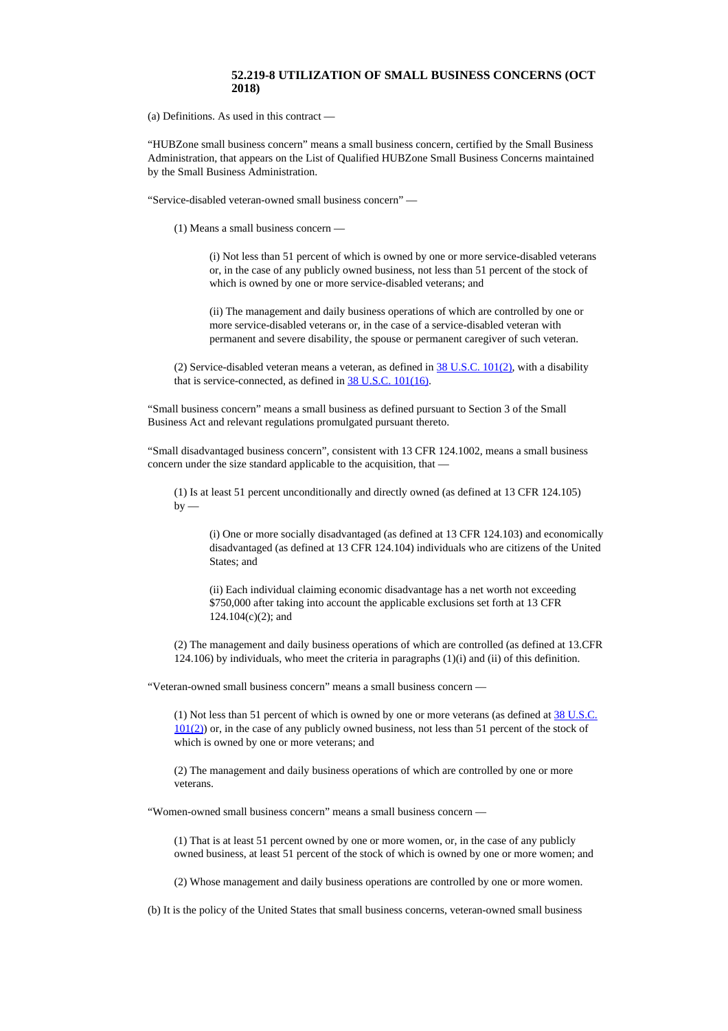## **52.219-8 UTILIZATION OF SMALL BUSINESS CONCERNS (OCT 2018)**

(a) Definitions. As used in this contract —

"HUBZone small business concern" means a small business concern, certified by the Small Business Administration, that appears on the List of Qualified HUBZone Small Business Concerns maintained by the Small Business Administration.

"Service-disabled veteran-owned small business concern" —

(1) Means a small business concern —

(i) Not less than 51 percent of which is owned by one or more service-disabled veterans or, in the case of any publicly owned business, not less than 51 percent of the stock of which is owned by one or more service-disabled veterans; and

(ii) The management and daily business operations of which are controlled by one or more service-disabled veterans or, in the case of a service-disabled veteran with permanent and severe disability, the spouse or permanent caregiver of such veteran.

(2) Service-disabled veteran means a veteran, as defined in  $\frac{38 \text{ U.S.C. } 101(2)}{20}$ , with a disability that is service-connected, as defined in **38 U.S.C. [101\(16\)](http://uscode.house.gov/uscode-cgi/fastweb.exe?getdoc+uscview+t37t40+200+2++%2838%29%20%20AND%20%28%2838%29%20ADJ%20USC%29%3ACITE%20%20%20%20%20%20%20%20%20)**.

"Small business concern" means a small business as defined pursuant to Section 3 of the Small Business Act and relevant regulations promulgated pursuant thereto.

"Small disadvantaged business concern", consistent with 13 CFR 124.1002, means a small business concern under the size standard applicable to the acquisition, that —

(1) Is at least 51 percent unconditionally and directly owned (as defined at 13 CFR 124.105)  $hv -$ 

(i) One or more socially disadvantaged (as defined at 13 CFR 124.103) and economically disadvantaged (as defined at 13 CFR 124.104) individuals who are citizens of the United States; and

(ii) Each individual claiming economic disadvantage has a net worth not exceeding \$750,000 after taking into account the applicable exclusions set forth at 13 CFR 124.104(c)(2); and

(2) The management and daily business operations of which are controlled (as defined at 13.CFR 124.106) by individuals, who meet the criteria in paragraphs (1)(i) and (ii) of this definition.

"Veteran-owned small business concern" means a small business concern —

(1) Not less than 51 percent of which is owned by one or more veterans (as defined at  $38 \text{ U.S.C.}$  $38 \text{ U.S.C.}$  $38 \text{ U.S.C.}$ [101\(2\)](http://uscode.house.gov/uscode-cgi/fastweb.exe?getdoc+uscview+t37t40+200+2++%2838%29%20%20AND%20%28%2838%29%20ADJ%20USC%29%3ACITE%20%20%20%20%20%20%20%20%20)) or, in the case of any publicly owned business, not less than 51 percent of the stock of which is owned by one or more veterans; and

(2) The management and daily business operations of which are controlled by one or more veterans.

"Women-owned small business concern" means a small business concern —

(1) That is at least 51 percent owned by one or more women, or, in the case of any publicly owned business, at least 51 percent of the stock of which is owned by one or more women; and

(2) Whose management and daily business operations are controlled by one or more women.

(b) It is the policy of the United States that small business concerns, veteran-owned small business